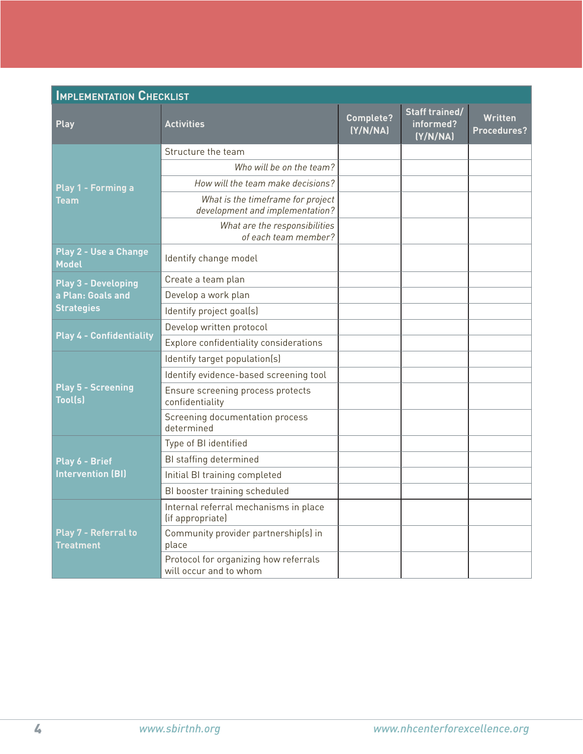| <b>IMPLEMENTATION CHECKLIST</b>                 |                                                                      |                       |                                                |                                      |  |  |
|-------------------------------------------------|----------------------------------------------------------------------|-----------------------|------------------------------------------------|--------------------------------------|--|--|
| <b>Play</b>                                     | <b>Activities</b>                                                    | Complete?<br>(Y/N/NA) | <b>Staff trained/</b><br>informed?<br>(Y/N/NA) | <b>Written</b><br><b>Procedures?</b> |  |  |
| Play 1 - Forming a<br><b>Team</b>               | Structure the team                                                   |                       |                                                |                                      |  |  |
|                                                 | Who will be on the team?                                             |                       |                                                |                                      |  |  |
|                                                 | How will the team make decisions?                                    |                       |                                                |                                      |  |  |
|                                                 | What is the timeframe for project<br>development and implementation? |                       |                                                |                                      |  |  |
|                                                 | What are the responsibilities<br>of each team member?                |                       |                                                |                                      |  |  |
| Play 2 - Use a Change<br><b>Model</b>           | Identify change model                                                |                       |                                                |                                      |  |  |
| <b>Play 3 - Developing</b><br>a Plan: Goals and | Create a team plan                                                   |                       |                                                |                                      |  |  |
|                                                 | Develop a work plan                                                  |                       |                                                |                                      |  |  |
| <b>Strategies</b>                               | Identify project goal(s)                                             |                       |                                                |                                      |  |  |
| <b>Play 4 - Confidentiality</b>                 | Develop written protocol                                             |                       |                                                |                                      |  |  |
|                                                 | Explore confidentiality considerations                               |                       |                                                |                                      |  |  |
| <b>Play 5 - Screening</b><br><b>Tool(s)</b>     | Identify target population(s)                                        |                       |                                                |                                      |  |  |
|                                                 | Identify evidence-based screening tool                               |                       |                                                |                                      |  |  |
|                                                 | Ensure screening process protects<br>confidentiality                 |                       |                                                |                                      |  |  |
|                                                 | Screening documentation process<br>determined                        |                       |                                                |                                      |  |  |
| Play 6 - Brief<br><b>Intervention (BI)</b>      | Type of BI identified                                                |                       |                                                |                                      |  |  |
|                                                 | BI staffing determined                                               |                       |                                                |                                      |  |  |
|                                                 | Initial BI training completed                                        |                       |                                                |                                      |  |  |
|                                                 | BI booster training scheduled                                        |                       |                                                |                                      |  |  |
| Play 7 - Referral to<br><b>Treatment</b>        | Internal referral mechanisms in place<br>(if appropriate)            |                       |                                                |                                      |  |  |
|                                                 | Community provider partnership(s) in<br>place                        |                       |                                                |                                      |  |  |
|                                                 | Protocol for organizing how referrals<br>will occur and to whom      |                       |                                                |                                      |  |  |